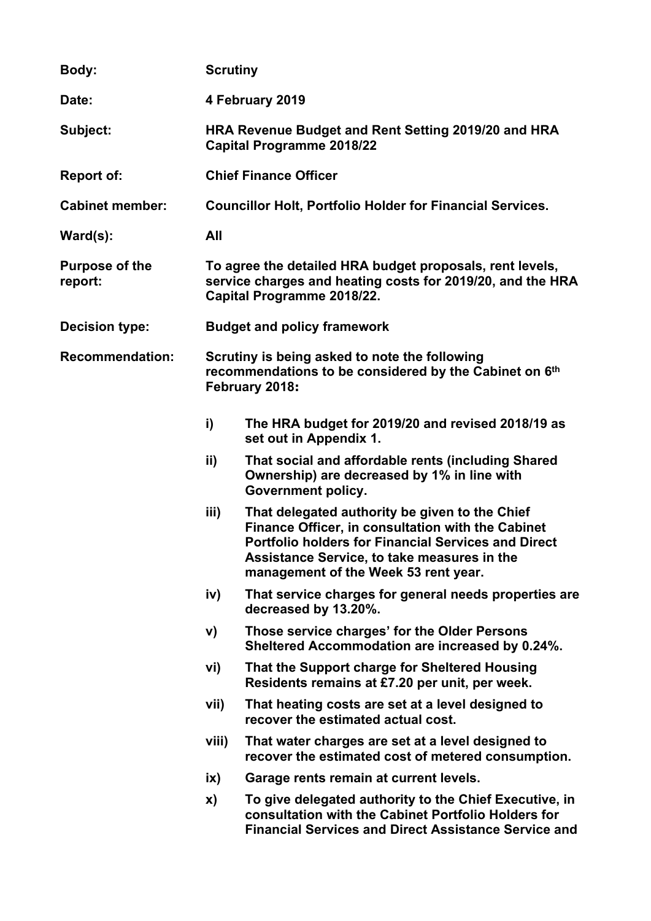| Body:                            | <b>Scrutiny</b>                                                                                                                                      |                                                                                                                                                                                                                                                          |  |  |
|----------------------------------|------------------------------------------------------------------------------------------------------------------------------------------------------|----------------------------------------------------------------------------------------------------------------------------------------------------------------------------------------------------------------------------------------------------------|--|--|
| Date:                            | 4 February 2019                                                                                                                                      |                                                                                                                                                                                                                                                          |  |  |
| Subject:                         | HRA Revenue Budget and Rent Setting 2019/20 and HRA<br><b>Capital Programme 2018/22</b>                                                              |                                                                                                                                                                                                                                                          |  |  |
| <b>Report of:</b>                | <b>Chief Finance Officer</b>                                                                                                                         |                                                                                                                                                                                                                                                          |  |  |
| <b>Cabinet member:</b>           | <b>Councillor Holt, Portfolio Holder for Financial Services.</b>                                                                                     |                                                                                                                                                                                                                                                          |  |  |
| $\textsf{Ward}(s)$ :             | All                                                                                                                                                  |                                                                                                                                                                                                                                                          |  |  |
| <b>Purpose of the</b><br>report: | To agree the detailed HRA budget proposals, rent levels,<br>service charges and heating costs for 2019/20, and the HRA<br>Capital Programme 2018/22. |                                                                                                                                                                                                                                                          |  |  |
| <b>Decision type:</b>            | <b>Budget and policy framework</b>                                                                                                                   |                                                                                                                                                                                                                                                          |  |  |
| <b>Recommendation:</b>           | Scrutiny is being asked to note the following<br>recommendations to be considered by the Cabinet on 6th<br>February 2018:                            |                                                                                                                                                                                                                                                          |  |  |
|                                  | i)                                                                                                                                                   | The HRA budget for 2019/20 and revised 2018/19 as<br>set out in Appendix 1.                                                                                                                                                                              |  |  |
|                                  | ii)                                                                                                                                                  | That social and affordable rents (including Shared<br>Ownership) are decreased by 1% in line with<br><b>Government policy.</b>                                                                                                                           |  |  |
|                                  | iii)                                                                                                                                                 | That delegated authority be given to the Chief<br>Finance Officer, in consultation with the Cabinet<br><b>Portfolio holders for Financial Services and Direct</b><br>Assistance Service, to take measures in the<br>management of the Week 53 rent year. |  |  |
|                                  | iv)                                                                                                                                                  | That service charges for general needs properties are<br>decreased by 13.20%.                                                                                                                                                                            |  |  |
|                                  | V)                                                                                                                                                   | Those service charges' for the Older Persons<br>Sheltered Accommodation are increased by 0.24%.                                                                                                                                                          |  |  |
|                                  | vi)                                                                                                                                                  | That the Support charge for Sheltered Housing<br>Residents remains at £7.20 per unit, per week.                                                                                                                                                          |  |  |
|                                  | vii)                                                                                                                                                 | That heating costs are set at a level designed to<br>recover the estimated actual cost.                                                                                                                                                                  |  |  |
|                                  | viii)                                                                                                                                                | That water charges are set at a level designed to<br>recover the estimated cost of metered consumption.                                                                                                                                                  |  |  |
|                                  | ix)                                                                                                                                                  | Garage rents remain at current levels.                                                                                                                                                                                                                   |  |  |
|                                  | X)                                                                                                                                                   | To give delegated authority to the Chief Executive, in<br>consultation with the Cabinet Portfolio Holders for<br><b>Financial Services and Direct Assistance Service and</b>                                                                             |  |  |
|                                  |                                                                                                                                                      |                                                                                                                                                                                                                                                          |  |  |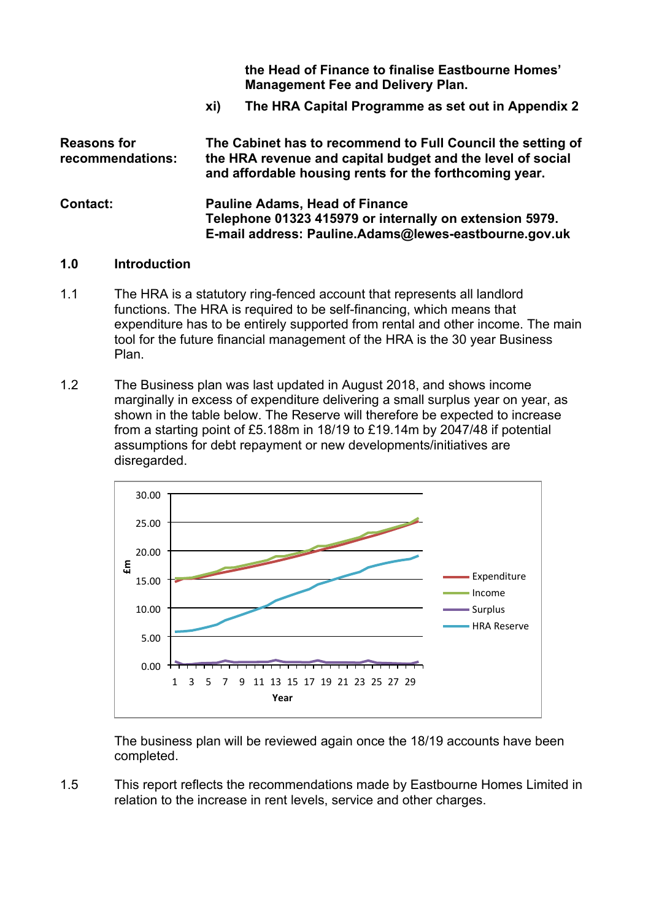**the Head of Finance to finalise Eastbourne Homes' Management Fee and Delivery Plan.**

**xi) The HRA Capital Programme as set out in Appendix 2**

| <b>Reasons for</b><br>recommendations: | The Cabinet has to recommend to Full Council the setting of<br>the HRA revenue and capital budget and the level of social<br>and affordable housing rents for the forthcoming year. |  |  |
|----------------------------------------|-------------------------------------------------------------------------------------------------------------------------------------------------------------------------------------|--|--|
| <b>Contact:</b>                        | <b>Pauline Adams, Head of Finance</b><br>Telephone 01323 415979 or internally on extension 5979.<br>E-mail address: Pauline.Adams@lewes-eastbourne.gov.uk                           |  |  |

#### **1.0 Introduction**

- 1.1 The HRA is a statutory ring-fenced account that represents all landlord functions. The HRA is required to be self-financing, which means that expenditure has to be entirely supported from rental and other income. The main tool for the future financial management of the HRA is the 30 year Business Plan.
- 1.2 The Business plan was last updated in August 2018, and shows income marginally in excess of expenditure delivering a small surplus year on year, as shown in the table below. The Reserve will therefore be expected to increase from a starting point of £5.188m in 18/19 to £19.14m by 2047/48 if potential assumptions for debt repayment or new developments/initiatives are disregarded.



The business plan will be reviewed again once the 18/19 accounts have been completed.

1.5 This report reflects the recommendations made by Eastbourne Homes Limited in relation to the increase in rent levels, service and other charges.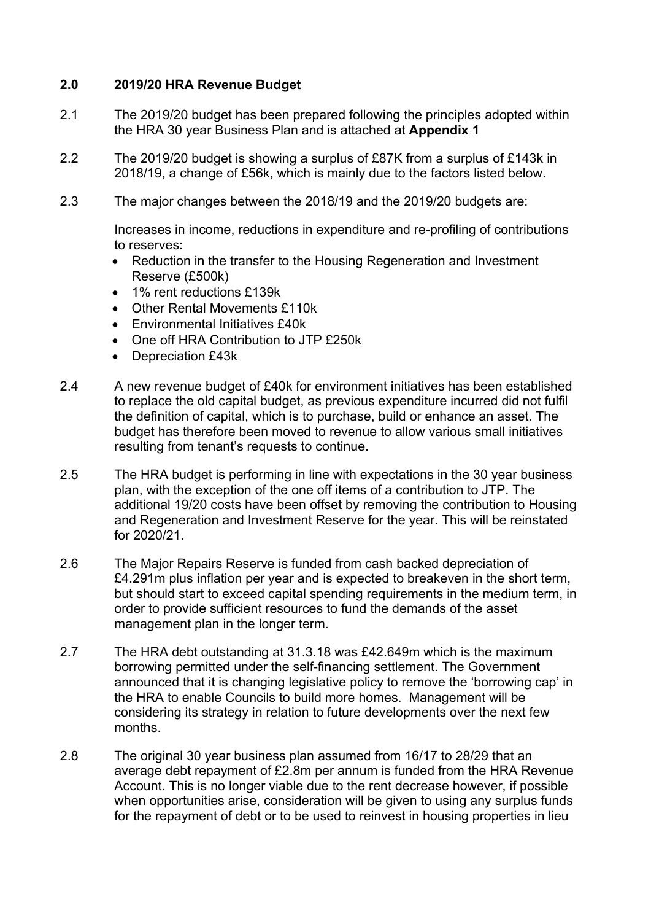# **2.0 2019/20 HRA Revenue Budget**

- 2.1 The 2019/20 budget has been prepared following the principles adopted within the HRA 30 year Business Plan and is attached at **Appendix 1**
- 2.2 The 2019/20 budget is showing a surplus of £87K from a surplus of £143k in 2018/19, a change of £56k, which is mainly due to the factors listed below.
- 2.3 The major changes between the 2018/19 and the 2019/20 budgets are:

Increases in income, reductions in expenditure and re-profiling of contributions to reserves:

- Reduction in the transfer to the Housing Regeneration and Investment Reserve (£500k)
- 1% rent reductions £139k
- Other Rental Movements £110k
- Environmental Initiatives £40k
- One off HRA Contribution to JTP £250k
- Depreciation £43k
- 2.4 A new revenue budget of £40k for environment initiatives has been established to replace the old capital budget, as previous expenditure incurred did not fulfil the definition of capital, which is to purchase, build or enhance an asset. The budget has therefore been moved to revenue to allow various small initiatives resulting from tenant's requests to continue.
- 2.5 The HRA budget is performing in line with expectations in the 30 year business plan, with the exception of the one off items of a contribution to JTP. The additional 19/20 costs have been offset by removing the contribution to Housing and Regeneration and Investment Reserve for the year. This will be reinstated for 2020/21.
- 2.6 The Major Repairs Reserve is funded from cash backed depreciation of £4.291m plus inflation per year and is expected to breakeven in the short term, but should start to exceed capital spending requirements in the medium term, in order to provide sufficient resources to fund the demands of the asset management plan in the longer term.
- 2.7 The HRA debt outstanding at 31.3.18 was £42.649m which is the maximum borrowing permitted under the self-financing settlement. The Government announced that it is changing legislative policy to remove the 'borrowing cap' in the HRA to enable Councils to build more homes. Management will be considering its strategy in relation to future developments over the next few months.
- 2.8 The original 30 year business plan assumed from 16/17 to 28/29 that an average debt repayment of £2.8m per annum is funded from the HRA Revenue Account. This is no longer viable due to the rent decrease however, if possible when opportunities arise, consideration will be given to using any surplus funds for the repayment of debt or to be used to reinvest in housing properties in lieu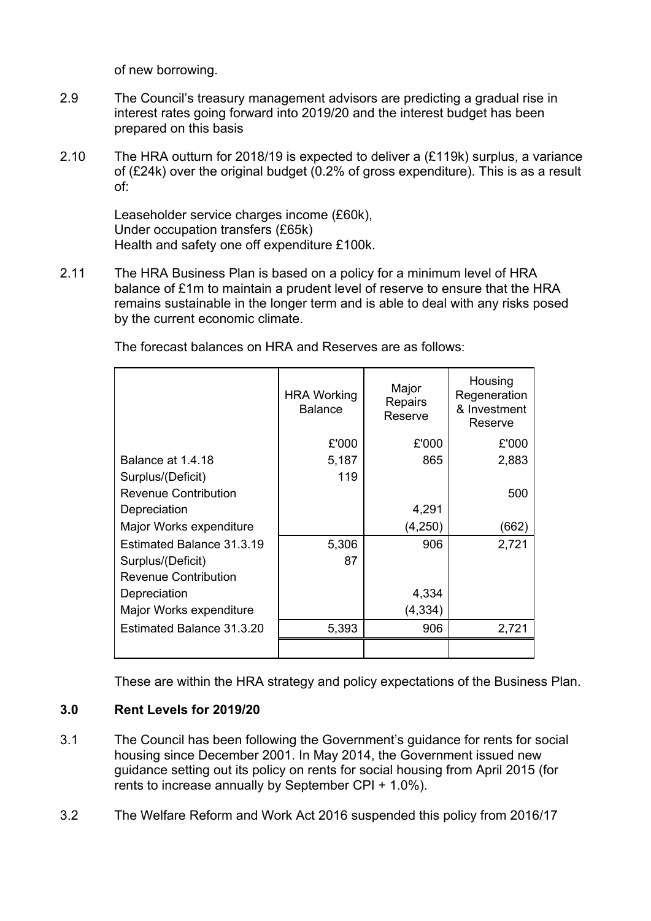of new borrowing.

- 2.9 The Council's treasury management advisors are predicting a gradual rise in interest rates going forward into 2019/20 and the interest budget has been prepared on this basis
- 2.10 The HRA outturn for 2018/19 is expected to deliver a (£119k) surplus, a variance of (£24k) over the original budget (0.2% of gross expenditure). This is as a result of:

Leaseholder service charges income (£60k), Under occupation transfers (£65k) Health and safety one off expenditure £100k.

2.11 The HRA Business Plan is based on a policy for a minimum level of HRA balance of £1m to maintain a prudent level of reserve to ensure that the HRA remains sustainable in the longer term and is able to deal with any risks posed by the current economic climate.

|                             | <b>HRA Working</b><br><b>Balance</b> | Major<br><b>Repairs</b><br>Reserve | Housing<br>Regeneration<br>& Investment<br>Reserve |
|-----------------------------|--------------------------------------|------------------------------------|----------------------------------------------------|
|                             | £'000                                | £'000                              | £'000                                              |
| Balance at 1.4.18           | 5,187                                | 865                                | 2,883                                              |
| Surplus/(Deficit)           | 119                                  |                                    |                                                    |
| <b>Revenue Contribution</b> |                                      |                                    | 500                                                |
| Depreciation                |                                      | 4,291                              |                                                    |
| Major Works expenditure     |                                      | (4,250)                            | (662)                                              |
| Estimated Balance 31.3.19   | 5,306                                | 906                                | 2,721                                              |
| Surplus/(Deficit)           | 87                                   |                                    |                                                    |
| <b>Revenue Contribution</b> |                                      |                                    |                                                    |
| Depreciation                |                                      | 4,334                              |                                                    |
| Major Works expenditure     |                                      | (4,334)                            |                                                    |
| Estimated Balance 31.3.20   | 5,393                                | 906                                | 2,721                                              |
|                             |                                      |                                    |                                                    |

The forecast balances on HRA and Reserves are as follows:

These are within the HRA strategy and policy expectations of the Business Plan.

### **3.0 Rent Levels for 2019/20**

- 3.1 The Council has been following the Government's guidance for rents for social housing since December 2001. In May 2014, the Government issued new guidance setting out its policy on rents for social housing from April 2015 (for rents to increase annually by September CPI + 1.0%).
- 3.2 The Welfare Reform and Work Act 2016 suspended this policy from 2016/17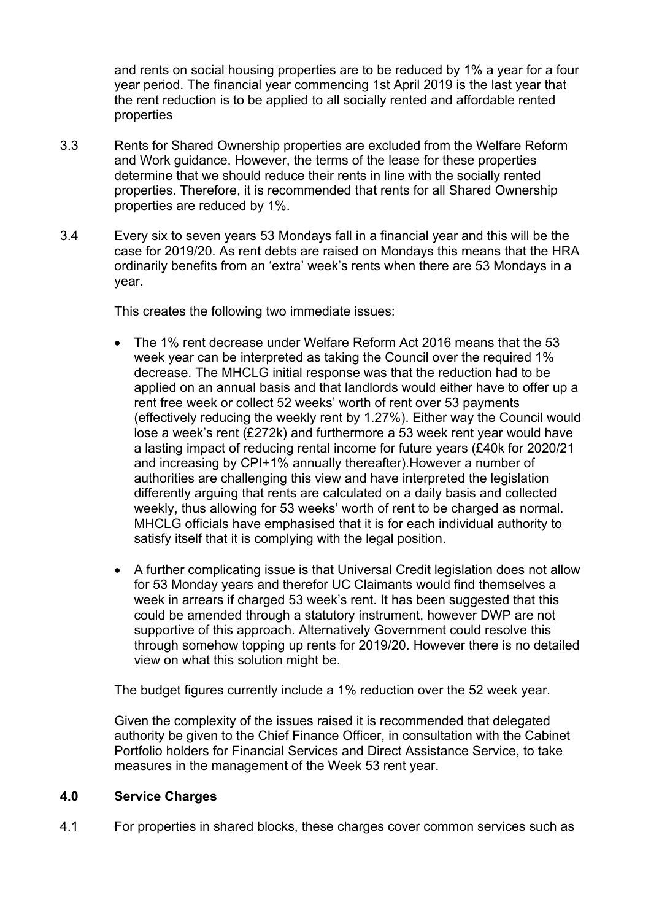and rents on social housing properties are to be reduced by 1% a year for a four year period. The financial year commencing 1st April 2019 is the last year that the rent reduction is to be applied to all socially rented and affordable rented properties

- 3.3 Rents for Shared Ownership properties are excluded from the Welfare Reform and Work guidance. However, the terms of the lease for these properties determine that we should reduce their rents in line with the socially rented properties. Therefore, it is recommended that rents for all Shared Ownership properties are reduced by 1%.
- 3.4 Every six to seven years 53 Mondays fall in a financial year and this will be the case for 2019/20. As rent debts are raised on Mondays this means that the HRA ordinarily benefits from an 'extra' week's rents when there are 53 Mondays in a year.

This creates the following two immediate issues:

- The 1% rent decrease under Welfare Reform Act 2016 means that the 53 week year can be interpreted as taking the Council over the required 1% decrease. The MHCLG initial response was that the reduction had to be applied on an annual basis and that landlords would either have to offer up a rent free week or collect 52 weeks' worth of rent over 53 payments (effectively reducing the weekly rent by 1.27%). Either way the Council would lose a week's rent (£272k) and furthermore a 53 week rent year would have a lasting impact of reducing rental income for future years (£40k for 2020/21 and increasing by CPI+1% annually thereafter).However a number of authorities are challenging this view and have interpreted the legislation differently arguing that rents are calculated on a daily basis and collected weekly, thus allowing for 53 weeks' worth of rent to be charged as normal. MHCLG officials have emphasised that it is for each individual authority to satisfy itself that it is complying with the legal position.
- A further complicating issue is that Universal Credit legislation does not allow for 53 Monday years and therefor UC Claimants would find themselves a week in arrears if charged 53 week's rent. It has been suggested that this could be amended through a statutory instrument, however DWP are not supportive of this approach. Alternatively Government could resolve this through somehow topping up rents for 2019/20. However there is no detailed view on what this solution might be.

The budget figures currently include a 1% reduction over the 52 week year.

Given the complexity of the issues raised it is recommended that delegated authority be given to the Chief Finance Officer, in consultation with the Cabinet Portfolio holders for Financial Services and Direct Assistance Service, to take measures in the management of the Week 53 rent year.

### **4.0 Service Charges**

4.1 For properties in shared blocks, these charges cover common services such as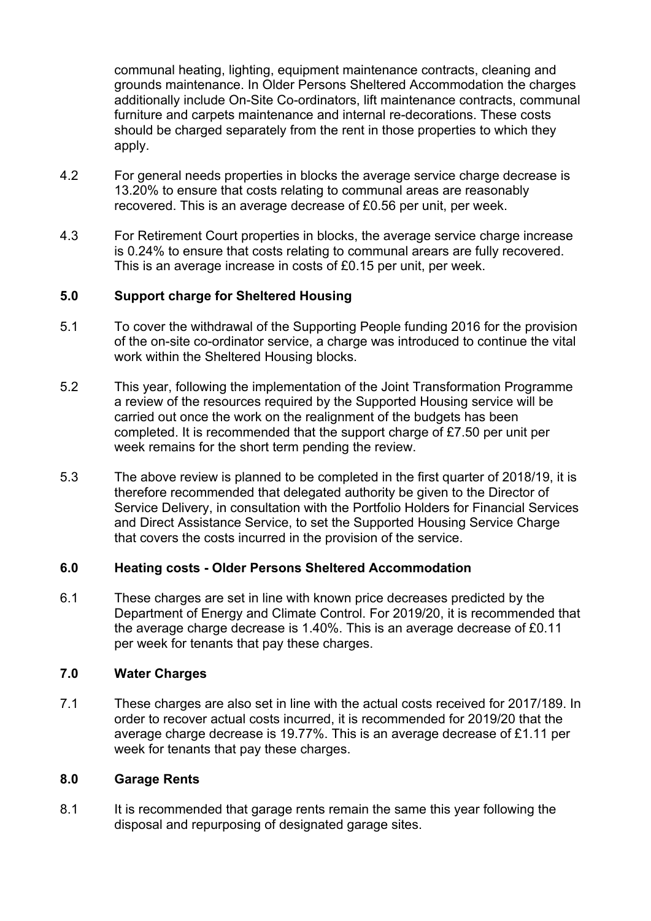communal heating, lighting, equipment maintenance contracts, cleaning and grounds maintenance. In Older Persons Sheltered Accommodation the charges additionally include On-Site Co-ordinators, lift maintenance contracts, communal furniture and carpets maintenance and internal re-decorations. These costs should be charged separately from the rent in those properties to which they apply.

- 4.2 For general needs properties in blocks the average service charge decrease is 13.20% to ensure that costs relating to communal areas are reasonably recovered. This is an average decrease of £0.56 per unit, per week.
- 4.3 For Retirement Court properties in blocks, the average service charge increase is 0.24% to ensure that costs relating to communal arears are fully recovered. This is an average increase in costs of £0.15 per unit, per week.

## **5.0 Support charge for Sheltered Housing**

- 5.1 To cover the withdrawal of the Supporting People funding 2016 for the provision of the on-site co-ordinator service, a charge was introduced to continue the vital work within the Sheltered Housing blocks.
- 5.2 This year, following the implementation of the Joint Transformation Programme a review of the resources required by the Supported Housing service will be carried out once the work on the realignment of the budgets has been completed. It is recommended that the support charge of £7.50 per unit per week remains for the short term pending the review.
- 5.3 The above review is planned to be completed in the first quarter of 2018/19, it is therefore recommended that delegated authority be given to the Director of Service Delivery, in consultation with the Portfolio Holders for Financial Services and Direct Assistance Service, to set the Supported Housing Service Charge that covers the costs incurred in the provision of the service.

### **6.0 Heating costs - Older Persons Sheltered Accommodation**

6.1 These charges are set in line with known price decreases predicted by the Department of Energy and Climate Control. For 2019/20, it is recommended that the average charge decrease is 1.40%. This is an average decrease of £0.11 per week for tenants that pay these charges.

### **7.0 Water Charges**

7.1 These charges are also set in line with the actual costs received for 2017/189. In order to recover actual costs incurred, it is recommended for 2019/20 that the average charge decrease is 19.77%. This is an average decrease of £1.11 per week for tenants that pay these charges.

### **8.0 Garage Rents**

8.1 It is recommended that garage rents remain the same this year following the disposal and repurposing of designated garage sites.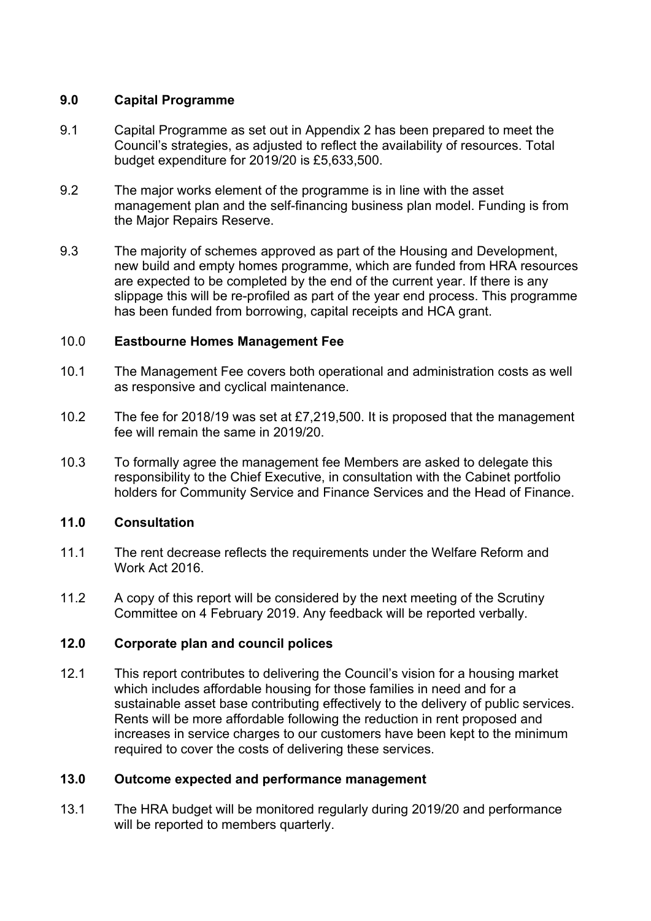# **9.0 Capital Programme**

- 9.1 Capital Programme as set out in Appendix 2 has been prepared to meet the Council's strategies, as adjusted to reflect the availability of resources. Total budget expenditure for 2019/20 is £5,633,500.
- 9.2 The major works element of the programme is in line with the asset management plan and the self-financing business plan model. Funding is from the Major Repairs Reserve.
- 9.3 The majority of schemes approved as part of the Housing and Development, new build and empty homes programme, which are funded from HRA resources are expected to be completed by the end of the current year. If there is any slippage this will be re-profiled as part of the year end process. This programme has been funded from borrowing, capital receipts and HCA grant.

## 10.0 **Eastbourne Homes Management Fee**

- 10.1 The Management Fee covers both operational and administration costs as well as responsive and cyclical maintenance.
- 10.2 The fee for 2018/19 was set at £7,219,500. It is proposed that the management fee will remain the same in 2019/20.
- 10.3 To formally agree the management fee Members are asked to delegate this responsibility to the Chief Executive, in consultation with the Cabinet portfolio holders for Community Service and Finance Services and the Head of Finance.

### **11.0 Consultation**

- 11.1 The rent decrease reflects the requirements under the Welfare Reform and Work Act 2016.
- 11.2 A copy of this report will be considered by the next meeting of the Scrutiny Committee on 4 February 2019. Any feedback will be reported verbally.

## **12.0 Corporate plan and council polices**

12.1 This report contributes to delivering the Council's vision for a housing market which includes affordable housing for those families in need and for a sustainable asset base contributing effectively to the delivery of public services. Rents will be more affordable following the reduction in rent proposed and increases in service charges to our customers have been kept to the minimum required to cover the costs of delivering these services.

# **13.0 Outcome expected and performance management**

13.1 The HRA budget will be monitored regularly during 2019/20 and performance will be reported to members quarterly.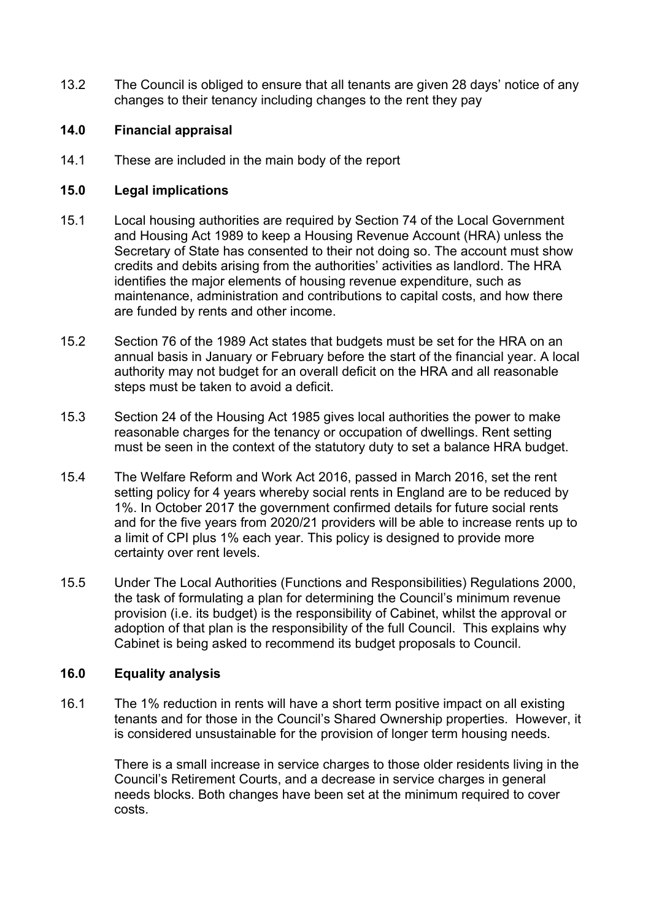13.2 The Council is obliged to ensure that all tenants are given 28 days' notice of any changes to their tenancy including changes to the rent they pay

# **14.0 Financial appraisal**

14.1 These are included in the main body of the report

# **15.0 Legal implications**

- 15.1 Local housing authorities are required by Section 74 of the Local Government and Housing Act 1989 to keep a Housing Revenue Account (HRA) unless the Secretary of State has consented to their not doing so. The account must show credits and debits arising from the authorities' activities as landlord. The HRA identifies the major elements of housing revenue expenditure, such as maintenance, administration and contributions to capital costs, and how there are funded by rents and other income.
- 15.2 Section 76 of the 1989 Act states that budgets must be set for the HRA on an annual basis in January or February before the start of the financial year. A local authority may not budget for an overall deficit on the HRA and all reasonable steps must be taken to avoid a deficit.
- 15.3 Section 24 of the Housing Act 1985 gives local authorities the power to make reasonable charges for the tenancy or occupation of dwellings. Rent setting must be seen in the context of the statutory duty to set a balance HRA budget.
- 15.4 The Welfare Reform and Work Act 2016, passed in March 2016, set the rent setting policy for 4 years whereby social rents in England are to be reduced by 1%. In October 2017 the government confirmed details for future social rents and for the five years from 2020/21 providers will be able to increase rents up to a limit of CPI plus 1% each year. This policy is designed to provide more certainty over rent levels.
- 15.5 Under The Local Authorities (Functions and Responsibilities) Regulations 2000, the task of formulating a plan for determining the Council's minimum revenue provision (i.e. its budget) is the responsibility of Cabinet, whilst the approval or adoption of that plan is the responsibility of the full Council. This explains why Cabinet is being asked to recommend its budget proposals to Council.

# **16.0 Equality analysis**

16.1 The 1% reduction in rents will have a short term positive impact on all existing tenants and for those in the Council's Shared Ownership properties. However, it is considered unsustainable for the provision of longer term housing needs.

> There is a small increase in service charges to those older residents living in the Council's Retirement Courts, and a decrease in service charges in general needs blocks. Both changes have been set at the minimum required to cover costs.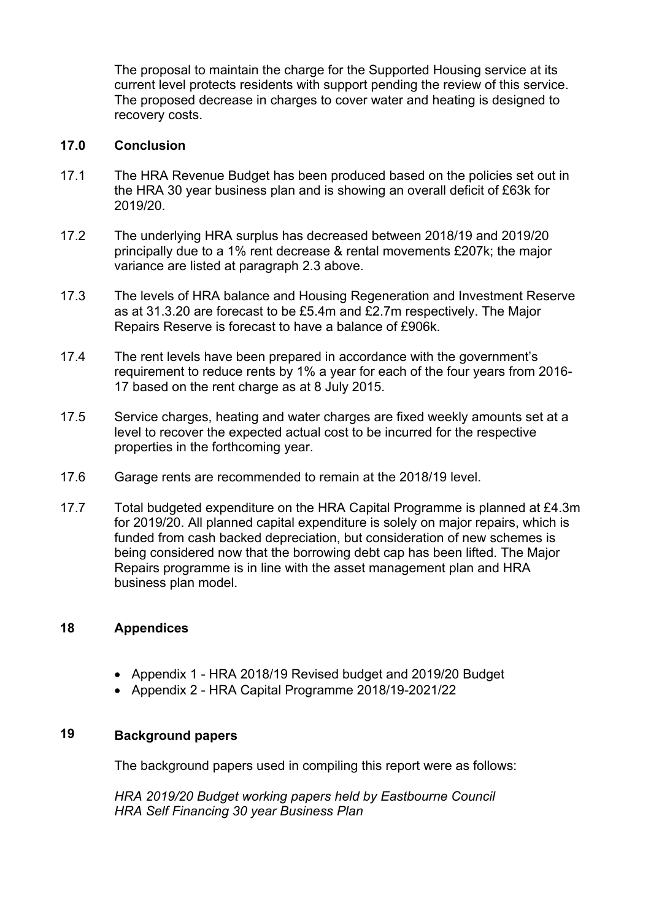The proposal to maintain the charge for the Supported Housing service at its current level protects residents with support pending the review of this service. The proposed decrease in charges to cover water and heating is designed to recovery costs.

## **17.0 Conclusion**

- 17.1 The HRA Revenue Budget has been produced based on the policies set out in the HRA 30 year business plan and is showing an overall deficit of £63k for 2019/20.
- 17.2 The underlying HRA surplus has decreased between 2018/19 and 2019/20 principally due to a 1% rent decrease & rental movements £207k; the major variance are listed at paragraph 2.3 above.
- 17.3 The levels of HRA balance and Housing Regeneration and Investment Reserve as at 31.3.20 are forecast to be £5.4m and £2.7m respectively. The Major Repairs Reserve is forecast to have a balance of £906k.
- 17.4 The rent levels have been prepared in accordance with the government's requirement to reduce rents by 1% a year for each of the four years from 2016- 17 based on the rent charge as at 8 July 2015.
- 17.5 Service charges, heating and water charges are fixed weekly amounts set at a level to recover the expected actual cost to be incurred for the respective properties in the forthcoming year.
- 17.6 Garage rents are recommended to remain at the 2018/19 level.
- 17.7 Total budgeted expenditure on the HRA Capital Programme is planned at £4.3m for 2019/20. All planned capital expenditure is solely on major repairs, which is funded from cash backed depreciation, but consideration of new schemes is being considered now that the borrowing debt cap has been lifted. The Major Repairs programme is in line with the asset management plan and HRA business plan model.

#### **18 Appendices**

- Appendix 1 HRA 2018/19 Revised budget and 2019/20 Budget
- Appendix 2 HRA Capital Programme 2018/19-2021/22

#### **19 Background papers**

The background papers used in compiling this report were as follows:

*HRA 2019/20 Budget working papers held by Eastbourne Council HRA Self Financing 30 year Business Plan*